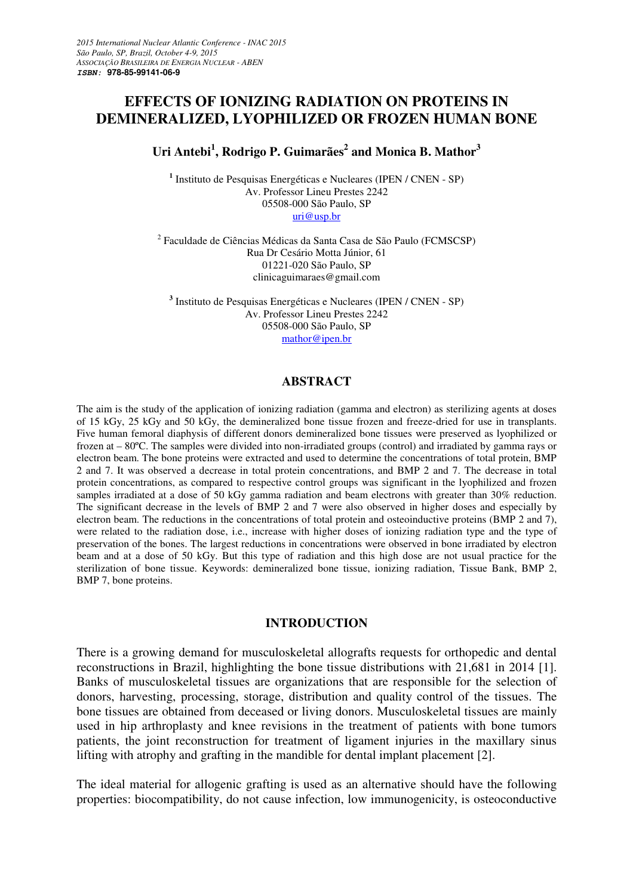# **EFFECTS OF IONIZING RADIATION ON PROTEINS IN DEMINERALIZED, LYOPHILIZED OR FROZEN HUMAN BONE**

**Uri Antebi<sup>1</sup> , Rodrigo P. Guimarães<sup>2</sup> and Monica B. Mathor<sup>3</sup>**

**1** Instituto de Pesquisas Energéticas e Nucleares (IPEN / CNEN - SP) Av. Professor Lineu Prestes 2242 05508-000 São Paulo, SP uri@usp.br

<sup>2</sup> Faculdade de Ciências Médicas da Santa Casa de São Paulo (FCMSCSP) Rua Dr Cesário Motta Júnior, 61 01221-020 São Paulo, SP clinicaguimaraes@gmail.com

**3** Instituto de Pesquisas Energéticas e Nucleares (IPEN / CNEN - SP) Av. Professor Lineu Prestes 2242 05508-000 São Paulo, SP mathor@ipen.br

#### **ABSTRACT**

The aim is the study of the application of ionizing radiation (gamma and electron) as sterilizing agents at doses of 15 kGy, 25 kGy and 50 kGy, the demineralized bone tissue frozen and freeze-dried for use in transplants. Five human femoral diaphysis of different donors demineralized bone tissues were preserved as lyophilized or frozen at – 80ºC. The samples were divided into non-irradiated groups (control) and irradiated by gamma rays or electron beam. The bone proteins were extracted and used to determine the concentrations of total protein, BMP 2 and 7. It was observed a decrease in total protein concentrations, and BMP 2 and 7. The decrease in total protein concentrations, as compared to respective control groups was significant in the lyophilized and frozen samples irradiated at a dose of 50 kGy gamma radiation and beam electrons with greater than 30% reduction. The significant decrease in the levels of BMP 2 and 7 were also observed in higher doses and especially by electron beam. The reductions in the concentrations of total protein and osteoinductive proteins (BMP 2 and 7), were related to the radiation dose, i.e., increase with higher doses of ionizing radiation type and the type of preservation of the bones. The largest reductions in concentrations were observed in bone irradiated by electron beam and at a dose of 50 kGy. But this type of radiation and this high dose are not usual practice for the sterilization of bone tissue. Keywords: demineralized bone tissue, ionizing radiation, Tissue Bank, BMP 2, BMP 7, bone proteins.

#### **INTRODUCTION**

There is a growing demand for musculoskeletal allografts requests for orthopedic and dental reconstructions in Brazil, highlighting the bone tissue distributions with 21,681 in 2014 [1]. Banks of musculoskeletal tissues are organizations that are responsible for the selection of donors, harvesting, processing, storage, distribution and quality control of the tissues. The bone tissues are obtained from deceased or living donors. Musculoskeletal tissues are mainly used in hip arthroplasty and knee revisions in the treatment of patients with bone tumors patients, the joint reconstruction for treatment of ligament injuries in the maxillary sinus lifting with atrophy and grafting in the mandible for dental implant placement [2].

The ideal material for allogenic grafting is used as an alternative should have the following properties: biocompatibility, do not cause infection, low immunogenicity, is osteoconductive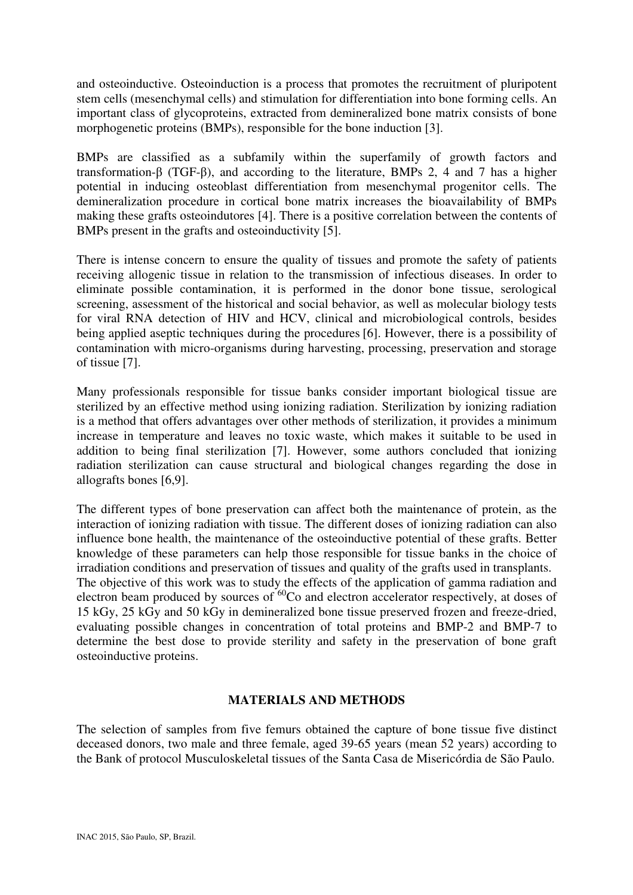and osteoinductive. Osteoinduction is a process that promotes the recruitment of pluripotent stem cells (mesenchymal cells) and stimulation for differentiation into bone forming cells. An important class of glycoproteins, extracted from demineralized bone matrix consists of bone morphogenetic proteins (BMPs), responsible for the bone induction [3].

BMPs are classified as a subfamily within the superfamily of growth factors and transformation-β (TGF-β), and according to the literature, BMPs 2, 4 and 7 has a higher potential in inducing osteoblast differentiation from mesenchymal progenitor cells. The demineralization procedure in cortical bone matrix increases the bioavailability of BMPs making these grafts osteoindutores [4]. There is a positive correlation between the contents of BMPs present in the grafts and osteoinductivity [5].

There is intense concern to ensure the quality of tissues and promote the safety of patients receiving allogenic tissue in relation to the transmission of infectious diseases. In order to eliminate possible contamination, it is performed in the donor bone tissue, serological screening, assessment of the historical and social behavior, as well as molecular biology tests for viral RNA detection of HIV and HCV, clinical and microbiological controls, besides being applied aseptic techniques during the procedures [6]. However, there is a possibility of contamination with micro-organisms during harvesting, processing, preservation and storage of tissue [7].

Many professionals responsible for tissue banks consider important biological tissue are sterilized by an effective method using ionizing radiation. Sterilization by ionizing radiation is a method that offers advantages over other methods of sterilization, it provides a minimum increase in temperature and leaves no toxic waste, which makes it suitable to be used in addition to being final sterilization [7]. However, some authors concluded that ionizing radiation sterilization can cause structural and biological changes regarding the dose in allografts bones [6,9].

The different types of bone preservation can affect both the maintenance of protein, as the interaction of ionizing radiation with tissue. The different doses of ionizing radiation can also influence bone health, the maintenance of the osteoinductive potential of these grafts. Better knowledge of these parameters can help those responsible for tissue banks in the choice of irradiation conditions and preservation of tissues and quality of the grafts used in transplants. The objective of this work was to study the effects of the application of gamma radiation and electron beam produced by sources of <sup>60</sup>Co and electron accelerator respectively, at doses of 15 kGy, 25 kGy and 50 kGy in demineralized bone tissue preserved frozen and freeze-dried, evaluating possible changes in concentration of total proteins and BMP-2 and BMP-7 to determine the best dose to provide sterility and safety in the preservation of bone graft osteoinductive proteins.

# **MATERIALS AND METHODS**

The selection of samples from five femurs obtained the capture of bone tissue five distinct deceased donors, two male and three female, aged 39-65 years (mean 52 years) according to the Bank of protocol Musculoskeletal tissues of the Santa Casa de Misericórdia de São Paulo.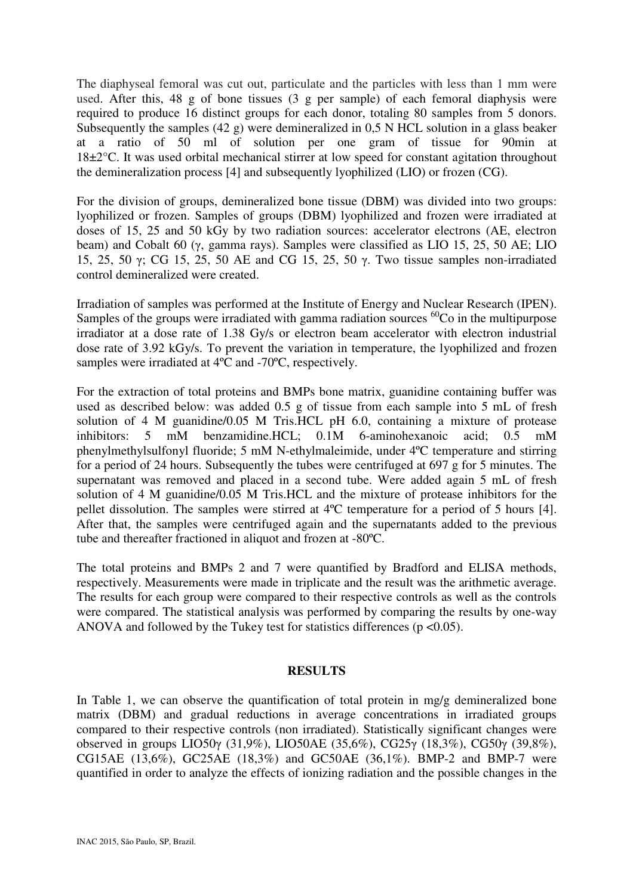The diaphyseal femoral was cut out, particulate and the particles with less than 1 mm were used. After this, 48 g of bone tissues (3 g per sample) of each femoral diaphysis were required to produce 16 distinct groups for each donor, totaling 80 samples from 5 donors. Subsequently the samples (42 g) were demineralized in 0,5 N HCL solution in a glass beaker at a ratio of 50 ml of solution per one gram of tissue for 90min at 18±2°C. It was used orbital mechanical stirrer at low speed for constant agitation throughout the demineralization process [4] and subsequently lyophilized (LIO) or frozen (CG).

For the division of groups, demineralized bone tissue (DBM) was divided into two groups: lyophilized or frozen. Samples of groups (DBM) lyophilized and frozen were irradiated at doses of 15, 25 and 50 kGy by two radiation sources: accelerator electrons (AE, electron beam) and Cobalt 60 (γ, gamma rays). Samples were classified as LIO 15, 25, 50 AE; LIO 15, 25, 50 γ; CG 15, 25, 50 AE and CG 15, 25, 50 γ. Two tissue samples non-irradiated control demineralized were created.

Irradiation of samples was performed at the Institute of Energy and Nuclear Research (IPEN). Samples of the groups were irradiated with gamma radiation sources  ${}^{60}Co$  in the multipurpose irradiator at a dose rate of 1.38 Gy/s or electron beam accelerator with electron industrial dose rate of 3.92 kGy/s. To prevent the variation in temperature, the lyophilized and frozen samples were irradiated at 4ºC and -70ºC, respectively.

For the extraction of total proteins and BMPs bone matrix, guanidine containing buffer was used as described below: was added 0.5 g of tissue from each sample into 5 mL of fresh solution of 4 M guanidine/0.05 M Tris.HCL pH 6.0, containing a mixture of protease inhibitors: 5 mM benzamidine.HCL; 0.1M 6-aminohexanoic acid; 0.5 mM phenylmethylsulfonyl fluoride; 5 mM N-ethylmaleimide, under 4ºC temperature and stirring for a period of 24 hours. Subsequently the tubes were centrifuged at 697 g for 5 minutes. The supernatant was removed and placed in a second tube. Were added again 5 mL of fresh solution of 4 M guanidine/0.05 M Tris.HCL and the mixture of protease inhibitors for the pellet dissolution. The samples were stirred at 4ºC temperature for a period of 5 hours [4]. After that, the samples were centrifuged again and the supernatants added to the previous tube and thereafter fractioned in aliquot and frozen at -80ºC.

The total proteins and BMPs 2 and 7 were quantified by Bradford and ELISA methods, respectively. Measurements were made in triplicate and the result was the arithmetic average. The results for each group were compared to their respective controls as well as the controls were compared. The statistical analysis was performed by comparing the results by one-way ANOVA and followed by the Tukey test for statistics differences ( $p \le 0.05$ ).

#### **RESULTS**

In Table 1, we can observe the quantification of total protein in mg/g demineralized bone matrix (DBM) and gradual reductions in average concentrations in irradiated groups compared to their respective controls (non irradiated). Statistically significant changes were observed in groups LIO50γ (31,9%), LIO50AE (35,6%), CG25γ (18,3%), CG50γ (39,8%), CG15AE (13,6%), GC25AE (18,3%) and GC50AE (36,1%). BMP-2 and BMP-7 were quantified in order to analyze the effects of ionizing radiation and the possible changes in the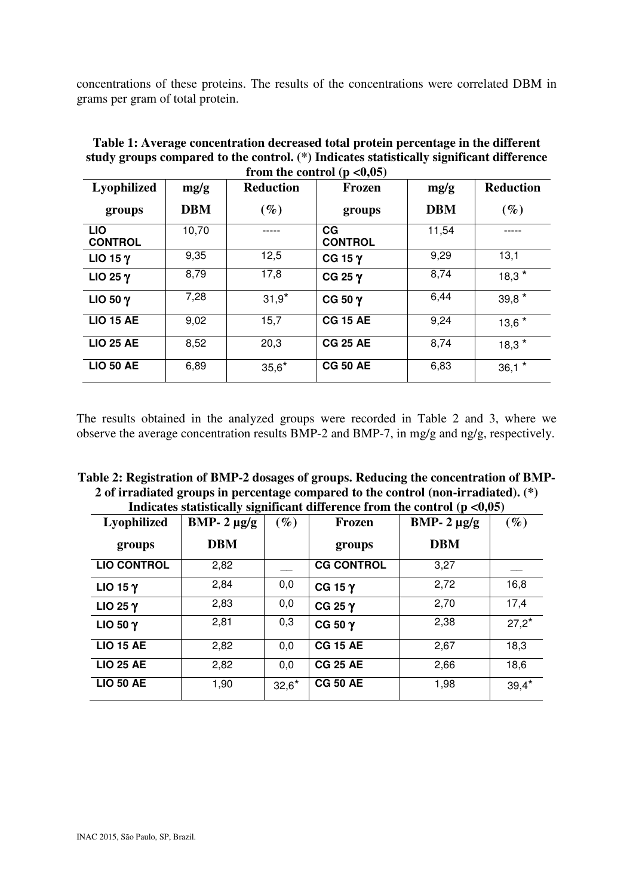concentrations of these proteins. The results of the concentrations were correlated DBM in grams per gram of total protein.

| <b>Lyophilized</b>           | mg/g       | <b>Reduction</b> | Frozen               | mg/g       | <b>Reduction</b> |
|------------------------------|------------|------------------|----------------------|------------|------------------|
| groups                       | <b>DBM</b> | $(\%)$           | groups               | <b>DBM</b> | $(\%)$           |
| <b>LIO</b><br><b>CONTROL</b> | 10,70      |                  | CG<br><b>CONTROL</b> | 11,54      |                  |
| LIO 15 $\gamma$              | 9,35       | 12,5             | CG 15 $\gamma$       | 9,29       | 13,1             |
| LIO 25 $\gamma$              | 8,79       | 17,8             | CG 25 $\gamma$       | 8,74       | $18,3*$          |
| LIO 50 $\gamma$              | 7,28       | $31,9*$          | CG 50 $\gamma$       | 6,44       | 39,8 $*$         |
| <b>LIO 15 AE</b>             | 9,02       | 15,7             | <b>CG 15 AE</b>      | 9,24       | $13,6*$          |
| <b>LIO 25 AE</b>             | 8,52       | 20,3             | <b>CG 25 AE</b>      | 8,74       | $18,3*$          |
| <b>LIO 50 AE</b>             | 6,89       | $35,6*$          | <b>CG 50 AE</b>      | 6,83       | $36,1*$          |

**Table 1: Average concentration decreased total protein percentage in the different study groups compared to the control. (\*) Indicates statistically significant difference** 

The results obtained in the analyzed groups were recorded in Table 2 and 3, where we observe the average concentration results BMP-2 and BMP-7, in mg/g and ng/g, respectively.

| Table 2: Registration of BMP-2 dosages of groups. Reducing the concentration of BMP- |
|--------------------------------------------------------------------------------------|
| 2 of irradiated groups in percentage compared to the control (non-irradiated). (*)   |
| Indicates statistically significant difference from the control $(p < 0,05)$         |

| <b>Lyophilized</b> | --, ~-a-<br>BMP- $2 \mu g/g$ | $(\%)$  | Frozen            | BMP- $2 \mu g/g$ | $(\%)$  |
|--------------------|------------------------------|---------|-------------------|------------------|---------|
| groups             | <b>DBM</b>                   |         | groups            | <b>DBM</b>       |         |
| <b>LIO CONTROL</b> | 2,82                         |         | <b>CG CONTROL</b> | 3,27             |         |
| LIO 15 $\gamma$    | 2,84                         | 0,0     | CG 15 $\gamma$    | 2,72             | 16,8    |
| LIO 25 $\gamma$    | 2,83                         | 0,0     | CG 25 $\gamma$    | 2,70             | 17,4    |
| LIO 50 $\gamma$    | 2,81                         | 0,3     | CG 50 $\gamma$    | 2,38             | $27.2*$ |
| <b>LIO 15 AE</b>   | 2,82                         | 0,0     | <b>CG 15 AE</b>   | 2,67             | 18,3    |
| <b>LIO 25 AE</b>   | 2,82                         | 0,0     | <b>CG 25 AE</b>   | 2,66             | 18,6    |
| <b>LIO 50 AE</b>   | 1,90                         | $32,6*$ | <b>CG 50 AE</b>   | 1,98             | $39,4*$ |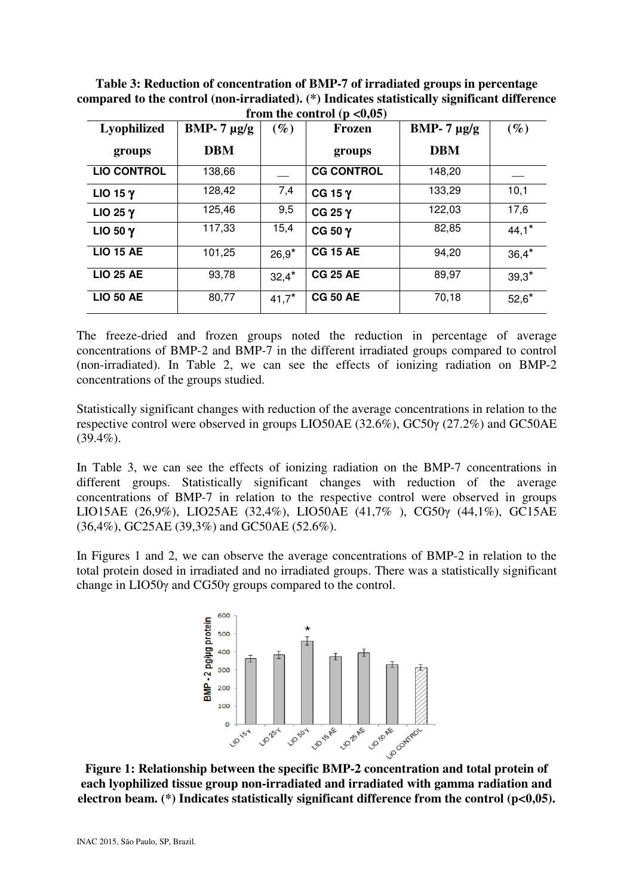| Table 3: Reduction of concentration of BMP-7 of irradiated groups in percentage              |
|----------------------------------------------------------------------------------------------|
| compared to the control (non-irradiated). (*) Indicates statistically significant difference |
| from the control ( $p < 0.05$ )                                                              |

| If our tric could be $(\beta \searrow 0, 0)$ |                  |          |                   |                  |         |  |  |
|----------------------------------------------|------------------|----------|-------------------|------------------|---------|--|--|
| <b>Lyophilized</b>                           | BMP- $7 \mu g/g$ | $(\%)$   | Frozen            | BMP- $7 \mu g/g$ | $(\%)$  |  |  |
| groups                                       | <b>DBM</b>       |          | groups            | <b>DBM</b>       |         |  |  |
| <b>LIO CONTROL</b>                           | 138,66           |          | <b>CG CONTROL</b> | 148,20           |         |  |  |
| LIO 15 $\gamma$                              | 128,42           | 7,4      | CG 15 $\gamma$    | 133,29           | 10,1    |  |  |
| LIO 25 $\gamma$                              | 125,46           | 9,5      | CG 25 $\gamma$    | 122,03           | 17,6    |  |  |
| LIO 50 $\gamma$                              | 117,33           | 15,4     | CG 50 $\gamma$    | 82,85            | $44,1*$ |  |  |
| <b>LIO 15 AE</b>                             | 101,25           | $26.9*$  | <b>CG 15 AE</b>   | 94,20            | $36,4*$ |  |  |
| <b>LIO 25 AE</b>                             | 93,78            | $32,4*$  | <b>CG 25 AE</b>   | 89,97            | $39.3*$ |  |  |
| <b>LIO 50 AE</b>                             | 80,77            | $41,7^*$ | <b>CG 50 AE</b>   | 70,18            | $52,6*$ |  |  |

The freeze-dried and frozen groups noted the reduction in percentage of average concentrations of BMP-2 and BMP-7 in the different irradiated groups compared to control (non-irradiated). In Table 2, we can see the effects of ionizing radiation on BMP-2 concentrations of the groups studied.

Statistically significant changes with reduction of the average concentrations in relation to the respective control were observed in groups LIO50AE (32.6%), GC50γ (27.2%) and GC50AE  $(39.4\%)$ .

In Table 3, we can see the effects of ionizing radiation on the BMP-7 concentrations in different groups. Statistically significant changes with reduction of the average concentrations of BMP-7 in relation to the respective control were observed in groups LIO15AE (26,9%), LIO25AE (32,4%), LIO50AE (41,7% ), CG50γ (44,1%), GC15AE (36,4%), GC25AE (39,3%) and GC50AE (52.6%).

In Figures 1 and 2, we can observe the average concentrations of BMP-2 in relation to the total protein dosed in irradiated and no irradiated groups. There was a statistically significant change in LIO50γ and CG50γ groups compared to the control.



**each lyophilized tissue group non-irradiated and irradiated with gamma radiation and electron beam. (\*) Indicates statistically significant difference from the control (p<0,05).**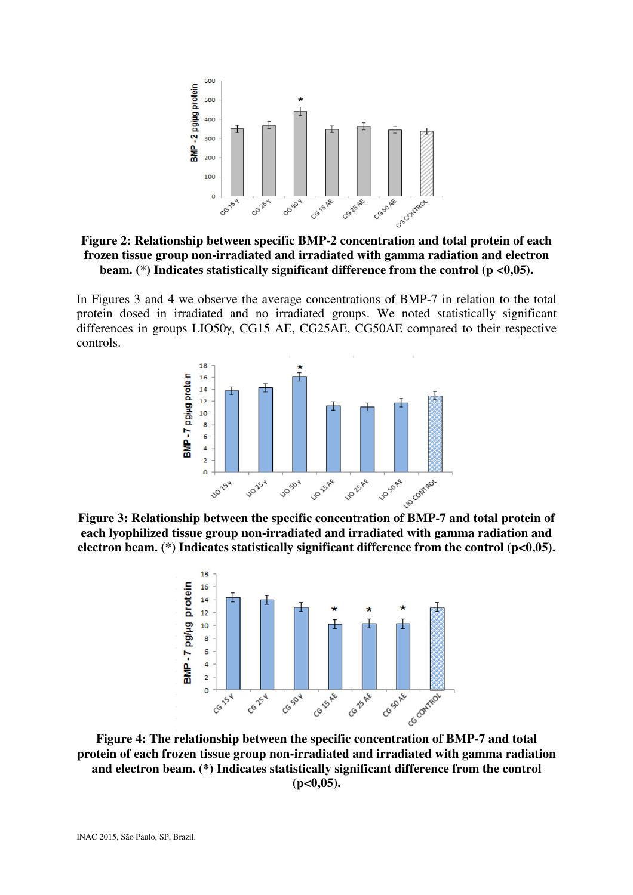

**Figure 2: Relationship between specific BMP-2 concentration and total protein of each frozen tissue group non-irradiated and irradiated with gamma radiation and electron beam. (\*) Indicates statistically significant difference from the control (p <0,05).** 

In Figures 3 and 4 we observe the average concentrations of BMP-7 in relation to the total protein dosed in irradiated and no irradiated groups. We noted statistically significant differences in groups LIO50γ, CG15 AE, CG25AE, CG50AE compared to their respective controls.



**each lyophilized tissue group non-irradiated and irradiated with gamma radiation and electron beam. (\*) Indicates statistically significant difference from the control (p<0,05).** 



**Figure 4: The relationship between the specific concentration of BMP-7 and total protein of each frozen tissue group non-irradiated and irradiated with gamma radiation and electron beam. (\*) Indicates statistically significant difference from the control**   $(p<0,05)$ .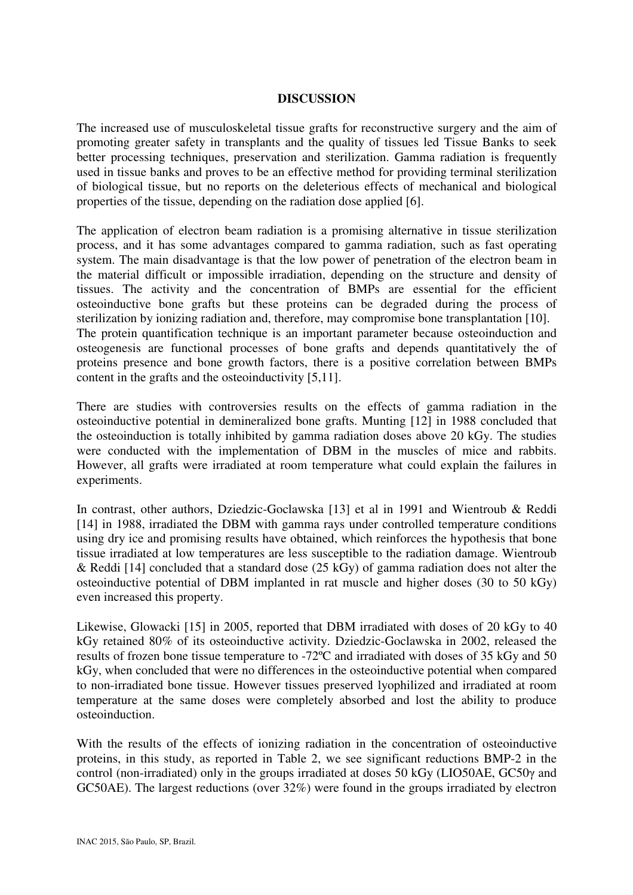## **DISCUSSION**

The increased use of musculoskeletal tissue grafts for reconstructive surgery and the aim of promoting greater safety in transplants and the quality of tissues led Tissue Banks to seek better processing techniques, preservation and sterilization. Gamma radiation is frequently used in tissue banks and proves to be an effective method for providing terminal sterilization of biological tissue, but no reports on the deleterious effects of mechanical and biological properties of the tissue, depending on the radiation dose applied [6].

The application of electron beam radiation is a promising alternative in tissue sterilization process, and it has some advantages compared to gamma radiation, such as fast operating system. The main disadvantage is that the low power of penetration of the electron beam in the material difficult or impossible irradiation, depending on the structure and density of tissues. The activity and the concentration of BMPs are essential for the efficient osteoinductive bone grafts but these proteins can be degraded during the process of sterilization by ionizing radiation and, therefore, may compromise bone transplantation [10]. The protein quantification technique is an important parameter because osteoinduction and osteogenesis are functional processes of bone grafts and depends quantitatively the of proteins presence and bone growth factors, there is a positive correlation between BMPs content in the grafts and the osteoinductivity [5,11].

There are studies with controversies results on the effects of gamma radiation in the osteoinductive potential in demineralized bone grafts. Munting [12] in 1988 concluded that the osteoinduction is totally inhibited by gamma radiation doses above 20 kGy. The studies were conducted with the implementation of DBM in the muscles of mice and rabbits. However, all grafts were irradiated at room temperature what could explain the failures in experiments.

In contrast, other authors, Dziedzic-Goclawska [13] et al in 1991 and Wientroub & Reddi [14] in 1988, irradiated the DBM with gamma rays under controlled temperature conditions using dry ice and promising results have obtained, which reinforces the hypothesis that bone tissue irradiated at low temperatures are less susceptible to the radiation damage. Wientroub & Reddi [14] concluded that a standard dose  $(25 \text{ kGy})$  of gamma radiation does not alter the osteoinductive potential of DBM implanted in rat muscle and higher doses (30 to 50 kGy) even increased this property.

Likewise, Glowacki [15] in 2005, reported that DBM irradiated with doses of 20 kGy to 40 kGy retained 80% of its osteoinductive activity. Dziedzic-Goclawska in 2002, released the results of frozen bone tissue temperature to -72ºC and irradiated with doses of 35 kGy and 50 kGy, when concluded that were no differences in the osteoinductive potential when compared to non-irradiated bone tissue. However tissues preserved lyophilized and irradiated at room temperature at the same doses were completely absorbed and lost the ability to produce osteoinduction.

With the results of the effects of ionizing radiation in the concentration of osteoinductive proteins, in this study, as reported in Table 2, we see significant reductions BMP-2 in the control (non-irradiated) only in the groups irradiated at doses 50 kGy (LIO50AE, GC50γ and GC50AE). The largest reductions (over 32%) were found in the groups irradiated by electron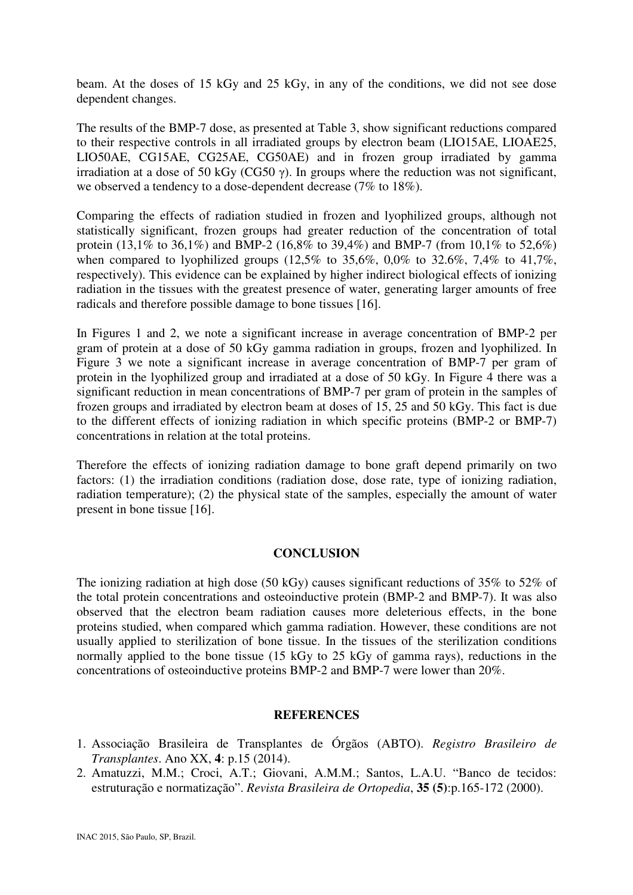beam. At the doses of 15 kGy and 25 kGy, in any of the conditions, we did not see dose dependent changes.

The results of the BMP-7 dose, as presented at Table 3, show significant reductions compared to their respective controls in all irradiated groups by electron beam (LIO15AE, LIOAE25, LIO50AE, CG15AE, CG25AE, CG50AE) and in frozen group irradiated by gamma irradiation at a dose of 50 kGy (CG50  $\gamma$ ). In groups where the reduction was not significant, we observed a tendency to a dose-dependent decrease (7% to 18%).

Comparing the effects of radiation studied in frozen and lyophilized groups, although not statistically significant, frozen groups had greater reduction of the concentration of total protein (13,1% to 36,1%) and BMP-2 (16,8% to 39,4%) and BMP-7 (from 10,1% to 52,6%) when compared to lyophilized groups  $(12,5\%$  to  $35,6\%, 0,0\%$  to  $32.6\%, 7,4\%$  to  $41,7\%,$ respectively). This evidence can be explained by higher indirect biological effects of ionizing radiation in the tissues with the greatest presence of water, generating larger amounts of free radicals and therefore possible damage to bone tissues [16].

In Figures 1 and 2, we note a significant increase in average concentration of BMP-2 per gram of protein at a dose of 50 kGy gamma radiation in groups, frozen and lyophilized. In Figure 3 we note a significant increase in average concentration of BMP-7 per gram of protein in the lyophilized group and irradiated at a dose of 50 kGy. In Figure 4 there was a significant reduction in mean concentrations of BMP-7 per gram of protein in the samples of frozen groups and irradiated by electron beam at doses of 15, 25 and 50 kGy. This fact is due to the different effects of ionizing radiation in which specific proteins (BMP-2 or BMP-7) concentrations in relation at the total proteins.

Therefore the effects of ionizing radiation damage to bone graft depend primarily on two factors: (1) the irradiation conditions (radiation dose, dose rate, type of ionizing radiation, radiation temperature); (2) the physical state of the samples, especially the amount of water present in bone tissue [16].

# **CONCLUSION**

The ionizing radiation at high dose (50 kGy) causes significant reductions of 35% to 52% of the total protein concentrations and osteoinductive protein (BMP-2 and BMP-7). It was also observed that the electron beam radiation causes more deleterious effects, in the bone proteins studied, when compared which gamma radiation. However, these conditions are not usually applied to sterilization of bone tissue. In the tissues of the sterilization conditions normally applied to the bone tissue (15 kGy to 25 kGy of gamma rays), reductions in the concentrations of osteoinductive proteins BMP-2 and BMP-7 were lower than 20%.

### **REFERENCES**

- 1. Associação Brasileira de Transplantes de Órgãos (ABTO). *Registro Brasileiro de Transplantes*. Ano XX, **4**: p.15 (2014).
- 2. Amatuzzi, M.M.; Croci, A.T.; Giovani, A.M.M.; Santos, L.A.U. "Banco de tecidos: estruturação e normatização". *Revista Brasileira de Ortopedia*, **35 (5)**:p.165-172 (2000).